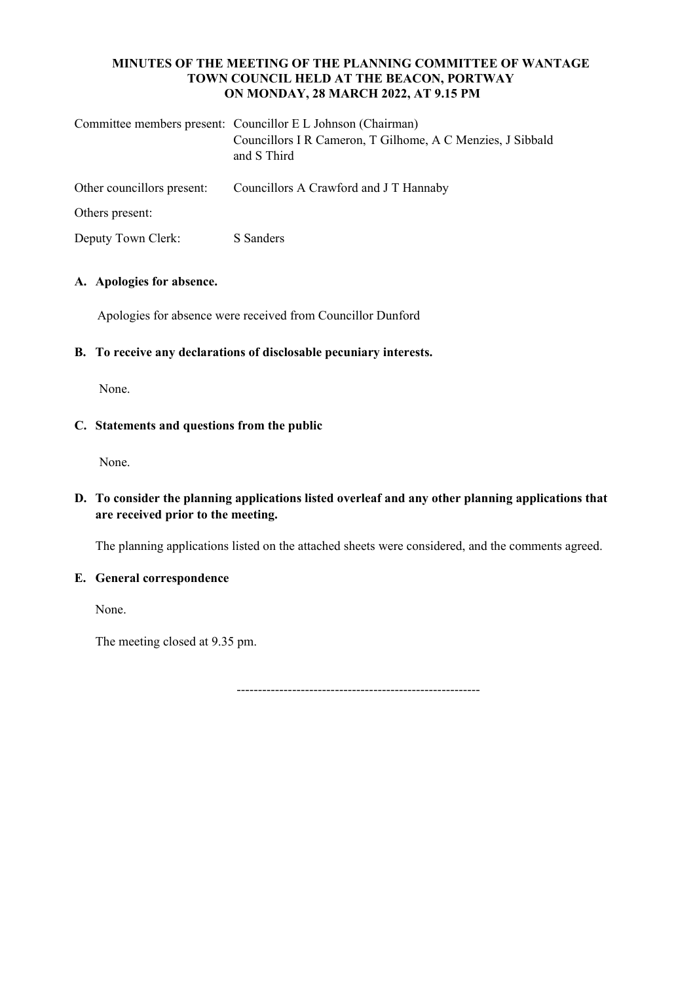### **MINUTES OF THE MEETING OF THE PLANNING COMMITTEE OF WANTAGE TOWN COUNCIL HELD AT THE BEACON, PORTWAY ON MONDAY, 28 MARCH 2022, AT 9.15 PM**

|                            | Committee members present: Councillor E L Johnson (Chairman)<br>Councillors I R Cameron, T Gilhome, A C Menzies, J Sibbald<br>and S Third |
|----------------------------|-------------------------------------------------------------------------------------------------------------------------------------------|
| Other councillors present: | Councillors A Crawford and J T Hannaby                                                                                                    |
| Others present:            |                                                                                                                                           |
| Deputy Town Clerk:         | S Sanders                                                                                                                                 |

# **A. Apologies for absence.**

Apologies for absence were received from Councillor Dunford

## **B. To receive any declarations of disclosable pecuniary interests.**

None.

## **C. Statements and questions from the public**

None.

# **D. To consider the planning applications listed overleaf and any other planning applications that are received prior to the meeting.**

The planning applications listed on the attached sheets were considered, and the comments agreed.

### **E. General correspondence**

None.

The meeting closed at 9.35 pm.

 $-$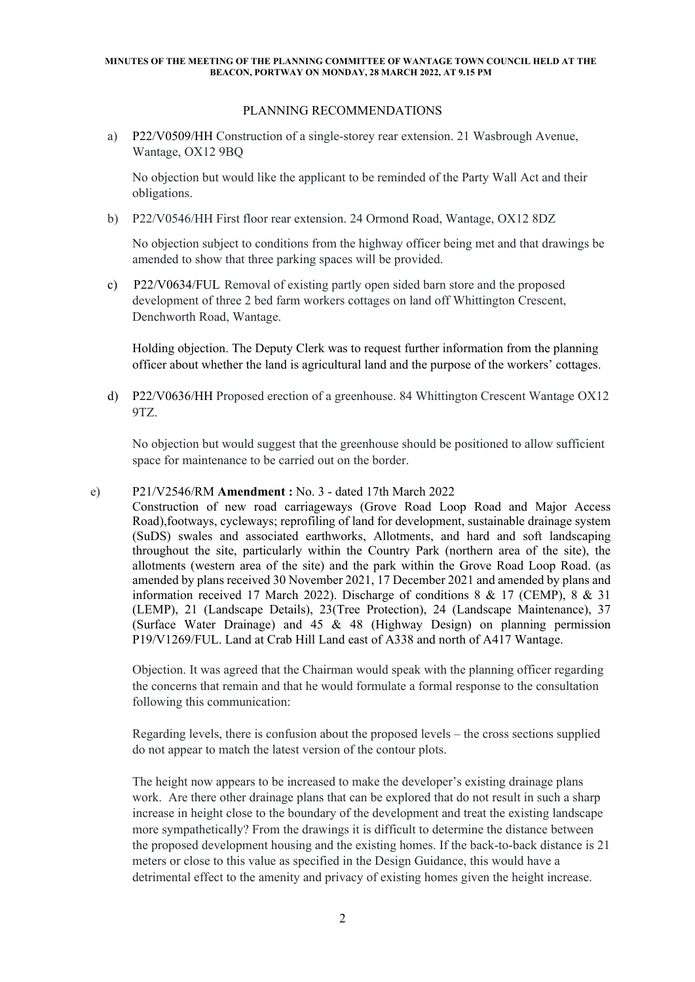#### **MINUTES OF THE MEETING OF THE PLANNING COMMITTEE OF WANTAGE TOWN COUNCIL HELD AT THE BEACON, PORTWAY ON MONDAY, 28 MARCH 2022, AT 9.15 PM**

#### PLANNING RECOMMENDATIONS

a) P22/V0509/HH Construction of a single-storey rear extension. 21 Wasbrough Avenue, Wantage, OX12 9BQ

No objection but would like the applicant to be reminded of the Party Wall Act and their obligations.

b) P22/V0546/HH First floor rear extension. 24 Ormond Road, Wantage, OX12 8DZ

No objection subject to conditions from the highway officer being met and that drawings be amended to show that three parking spaces will be provided.

c) P22/V0634/FUL Removal of existing partly open sided barn store and the proposed development of three 2 bed farm workers cottages on land off Whittington Crescent, Denchworth Road, Wantage.

Holding objection. The Deputy Clerk was to request further information from the planning officer about whether the land is agricultural land and the purpose of the workers' cottages.

d) P22/V0636/HH Proposed erection of a greenhouse. 84 Whittington Crescent Wantage OX12 9TZ.

No objection but would suggest that the greenhouse should be positioned to allow sufficient space for maintenance to be carried out on the border.

#### e) P21/V2546/RM **Amendment :** No. 3 - dated 17th March 2022

Construction of new road carriageways (Grove Road Loop Road and Major Access Road),footways, cycleways; reprofiling of land for development, sustainable drainage system (SuDS) swales and associated earthworks, Allotments, and hard and soft landscaping throughout the site, particularly within the Country Park (northern area of the site), the allotments (western area of the site) and the park within the Grove Road Loop Road. (as amended by plans received 30 November 2021, 17 December 2021 and amended by plans and information received 17 March 2022). Discharge of conditions 8 & 17 (CEMP), 8 & 31 (LEMP), 21 (Landscape Details), 23(Tree Protection), 24 (Landscape Maintenance), 37 (Surface Water Drainage) and 45 & 48 (Highway Design) on planning permission P19/V1269/FUL. Land at Crab Hill Land east of A338 and north of A417 Wantage.

Objection. It was agreed that the Chairman would speak with the planning officer regarding the concerns that remain and that he would formulate a formal response to the consultation following this communication:

Regarding levels, there is confusion about the proposed levels – the cross sections supplied do not appear to match the latest version of the contour plots.

The height now appears to be increased to make the developer's existing drainage plans work. Are there other drainage plans that can be explored that do not result in such a sharp increase in height close to the boundary of the development and treat the existing landscape more sympathetically? From the drawings it is difficult to determine the distance between the proposed development housing and the existing homes. If the back-to-back distance is 21 meters or close to this value as specified in the Design Guidance, this would have a detrimental effect to the amenity and privacy of existing homes given the height increase.